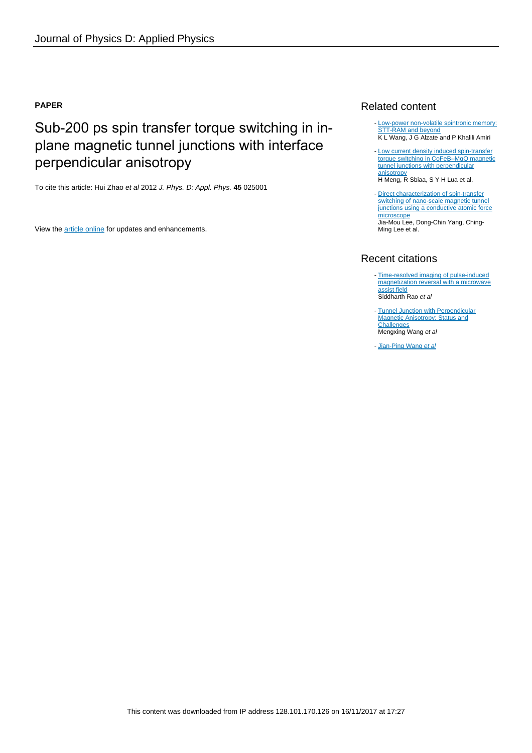### **PAPER**

# Sub-200 ps spin transfer torque switching in inplane magnetic tunnel junctions with interface perpendicular anisotropy

To cite this article: Hui Zhao et al 2012 J. Phys. D: Appl. Phys. **45** 025001

View the [article online](https://doi.org/10.1088/0022-3727/45/2/025001) for updates and enhancements.

## Related content

- [Low-power non-volatile spintronic memory:](http://iopscience.iop.org/article/10.1088/0022-3727/46/7/074003) [STT-RAM and beyond](http://iopscience.iop.org/article/10.1088/0022-3727/46/7/074003) K L Wang, J G Alzate and P Khalili Amiri
- [Low current density induced spin-transfer](http://iopscience.iop.org/article/10.1088/0022-3727/44/40/405001) [torque switching in CoFeB–MgO magnetic](http://iopscience.iop.org/article/10.1088/0022-3727/44/40/405001) [tunnel junctions with perpendicular](http://iopscience.iop.org/article/10.1088/0022-3727/44/40/405001) [anisotropy](http://iopscience.iop.org/article/10.1088/0022-3727/44/40/405001) -

H Meng, R Sbiaa, S Y H Lua et al.

- [Direct characterization of spin-transfer](http://iopscience.iop.org/article/10.1088/0022-3727/46/17/175002) [switching of nano-scale magnetic tunnel](http://iopscience.iop.org/article/10.1088/0022-3727/46/17/175002) [junctions using a conductive atomic force](http://iopscience.iop.org/article/10.1088/0022-3727/46/17/175002) [microscope](http://iopscience.iop.org/article/10.1088/0022-3727/46/17/175002) Jia-Mou Lee, Dong-Chin Yang, Ching-Ming Lee et al.

# Recent citations

- [Time-resolved imaging of pulse-induced](http://dx.doi.org/10.1038/srep10695) [magnetization reversal with a microwave](http://dx.doi.org/10.1038/srep10695) [assist field](http://dx.doi.org/10.1038/srep10695) Siddharth Rao et al
- [Tunnel Junction with Perpendicular](http://dx.doi.org/10.3390/mi6081023) [Magnetic Anisotropy: Status and](http://dx.doi.org/10.3390/mi6081023) <mark>[Challenges](http://dx.doi.org/10.3390/mi6081023)</mark><br>Mengxing Wang *et al*
- [Jian-Ping Wang](http://dx.doi.org/10.1002/9781118958254.ch04) et al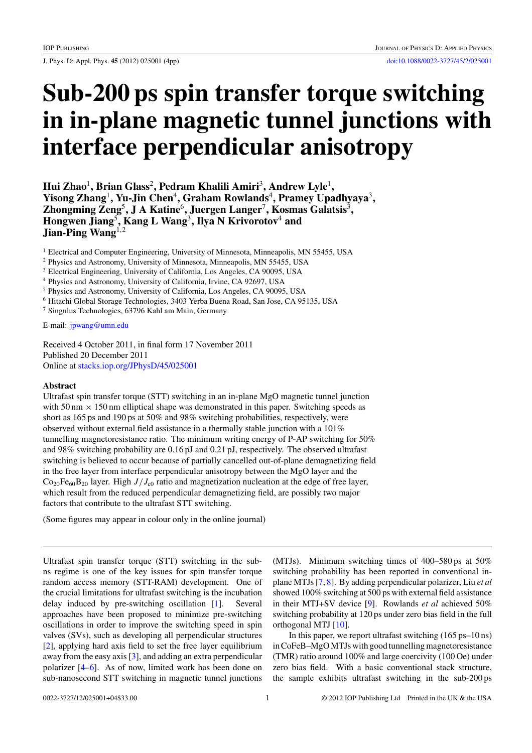J. Phys. D: Appl. Phys. **45** (2012) 025001 (4pp) [doi:10.1088/0022-3727/45/2/025001](http://dx.doi.org/10.1088/0022-3727/45/2/025001)

# **Sub-200 ps spin transfer torque switching in in-plane magnetic tunnel junctions with interface perpendicular anisotropy**

**Hui Zhao**<sup>1</sup>**, Brian Glass**<sup>2</sup>**, Pedram Khalili Amiri**<sup>3</sup>**, Andrew Lyle**<sup>1</sup>**, Yisong Zhang**<sup>1</sup>**, Yu-Jin Chen**<sup>4</sup>**, Graham Rowlands**<sup>4</sup>**, Pramey Upadhyaya**<sup>3</sup>**, Zhongming Zeng**<sup>5</sup>**, J A Katine**<sup>6</sup>**, Juergen Langer**<sup>7</sup>**, Kosmas Galatsis**<sup>3</sup>**, Hongwen Jiang**<sup>5</sup>**, Kang L Wang**<sup>3</sup>**, Ilya N Krivorotov**<sup>4</sup> **and Jian-Ping Wang**<sup>1</sup>*,*<sup>2</sup>

<sup>1</sup> Electrical and Computer Engineering, University of Minnesota, Minneapolis, MN 55455, USA

<sup>2</sup> Physics and Astronomy, University of Minnesota, Minneapolis, MN 55455, USA

<sup>3</sup> Electrical Engineering, University of California, Los Angeles, CA 90095, USA

<sup>4</sup> Physics and Astronomy, University of California, Irvine, CA 92697, USA

<sup>5</sup> Physics and Astronomy, University of California, Los Angeles, CA 90095, USA

<sup>6</sup> Hitachi Global Storage Technologies, 3403 Yerba Buena Road, San Jose, CA 95135, USA

<sup>7</sup> Singulus Technologies, 63796 Kahl am Main, Germany

E-mail: [jpwang@umn.edu](mailto: jpwang@umn.edu)

Received 4 October 2011, in final form 17 November 2011 Published 20 December 2011 Online at [stacks.iop.org/JPhysD/45/025001](http://stacks.iop.org/JPhysD/45/025001)

### **Abstract**

Ultrafast spin transfer torque (STT) switching in an in-plane MgO magnetic tunnel junction with 50 nm  $\times$  150 nm elliptical shape was demonstrated in this paper. Switching speeds as short as 165 ps and 190 ps at 50% and 98% switching probabilities, respectively, were observed without external field assistance in a thermally stable junction with a 101% tunnelling magnetoresistance ratio. The minimum writing energy of P-AP switching for 50% and 98% switching probability are 0.16 pJ and 0.21 pJ, respectively. The observed ultrafast switching is believed to occur because of partially cancelled out-of-plane demagnetizing field in the free layer from interface perpendicular anisotropy between the MgO layer and the  $Co<sub>20</sub>Fe<sub>60</sub>B<sub>20</sub>$  layer. High  $J/J<sub>c0</sub>$  ratio and magnetization nucleation at the edge of free layer, which result from the reduced perpendicular demagnetizing field, are possibly two major factors that contribute to the ultrafast STT switching.

(Some figures may appear in colour only in the online journal)

Ultrafast spin transfer torque (STT) switching in the subns regime is one of the key issues for spin transfer torque random access memory (STT-RAM) development. One of the crucial limitations for ultrafast switching is the incubation delay induced by pre-switching oscillation [\[1\]](#page-4-0). Several approaches have been proposed to minimize pre-switching oscillations in order to improve the switching speed in spin valves (SVs), such as developing all perpendicular structures [\[2\]](#page-4-0), applying hard axis field to set the free layer equilibrium away from the easy axis [\[3\]](#page-4-0), and adding an extra perpendicular polarizer [\[4–6\]](#page-4-0). As of now, limited work has been done on sub-nanosecond STT switching in magnetic tunnel junctions

(MTJs). Minimum switching times of 400–580 ps at 50% switching probability has been reported in conventional inplane MTJs [\[7,](#page-4-0) [8\]](#page-4-0). By adding perpendicular polarizer, Liu *et al* showed 100% switching at 500 ps with external field assistance in their MTJ+SV device [\[9\]](#page-4-0). Rowlands *et al* achieved 50% switching probability at 120 ps under zero bias field in the full orthogonal MTJ [\[10\]](#page-4-0).

In this paper, we report ultrafast switching (165 ps–10 ns) in CoFeB–MgOMTJs with good tunnelling magnetoresistance (TMR) ratio around 100% and large coercivity (100 Oe) under zero bias field. With a basic conventional stack structure, the sample exhibits ultrafast switching in the sub-200 ps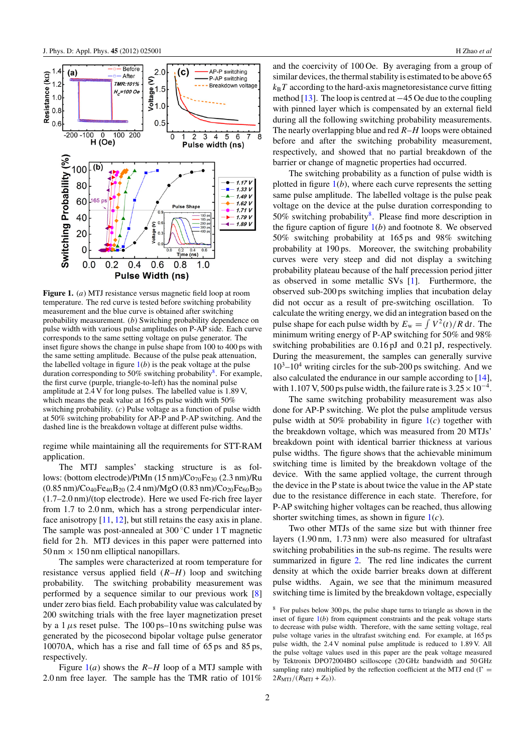

**Figure 1.** (*a*) MTJ resistance versus magnetic field loop at room temperature. The red curve is tested before switching probability measurement and the blue curve is obtained after switching probability measurement. (*b*) Switching probability dependence on pulse width with various pulse amplitudes on P-AP side. Each curve corresponds to the same setting voltage on pulse generator. The inset figure shows the change in pulse shape from 100 to 400 ps with the same setting amplitude. Because of the pulse peak attenuation, the labelled voltage in figure  $1(b)$  is the peak voltage at the pulse duration corresponding to 50% switching probability<sup>8</sup>. For example, the first curve (purple, triangle-to-left) has the nominal pulse amplitude at 2.4 V for long pulses. The labelled value is 1.89 V, which means the peak value at 165 ps pulse width with 50% switching probability. (*c*) Pulse voltage as a function of pulse width at 50% switching probability for AP-P and P-AP switching. And the dashed line is the breakdown voltage at different pulse widths.

regime while maintaining all the requirements for STT-RAM application.

The MTJ samples' stacking structure is as follows: (bottom electrode)/PtMn (15 nm)/Co<sub>70</sub>Fe<sub>30</sub> (2.3 nm)/Ru  $(0.85 \text{ nm})/\text{Co}_{40}\text{Fe}_{40}\text{B}_{20}$   $(2.4 \text{ nm})/\text{MgO}$   $(0.83 \text{ nm})/\text{Co}_{20}\text{Fe}_{60}\text{B}_{20}$ (1.7–2.0 nm)/(top electrode). Here we used Fe-rich free layer from 1.7 to 2.0 nm, which has a strong perpendicular interface anisotropy [\[11,](#page-4-0) [12\]](#page-4-0), but still retains the easy axis in plane. The sample was post-annealed at 300 ◦C under 1 T magnetic field for 2 h. MTJ devices in this paper were patterned into  $50 \text{ nm} \times 150 \text{ nm}$  elliptical nanopillars.

The samples were characterized at room temperature for resistance versus applied field (*R*–*H*) loop and switching probability. The switching probability measurement was performed by a sequence similar to our previous work [\[8\]](#page-4-0) under zero bias field. Each probability value was calculated by 200 switching trials with the free layer magnetization preset by a  $1 \mu s$  reset pulse. The  $100 \text{ ps}-10 \text{ ns}$  switching pulse was generated by the picosecond bipolar voltage pulse generator 10070A, which has a rise and fall time of 65 ps and 85 ps, respectively.

Figure 1(*a*) shows the *R*–*H* loop of a MTJ sample with 2.0 nm free layer. The sample has the TMR ratio of 101% and the coercivity of 100 Oe. By averaging from a group of similar devices, the thermal stability is estimated to be above 65  $k_B T$  according to the hard-axis magnetoresistance curve fitting method [\[13\]](#page-4-0). The loop is centred at −45 Oe due to the coupling with pinned layer which is compensated by an external field during all the following switching probability measurements. The nearly overlapping blue and red *R*–*H* loops were obtained before and after the switching probability measurement, respectively, and showed that no partial breakdown of the barrier or change of magnetic properties had occurred.

The switching probability as a function of pulse width is plotted in figure  $1(b)$ , where each curve represents the setting same pulse amplitude. The labelled voltage is the pulse peak voltage on the device at the pulse duration corresponding to 50% switching probability<sup>8</sup>. Please find more description in the figure caption of figure  $1(b)$  and footnote 8. We observed 50% switching probability at 165 ps and 98% switching probability at 190 ps. Moreover, the switching probability curves were very steep and did not display a switching probability plateau because of the half precession period jitter as observed in some metallic SVs [\[1\]](#page-4-0). Furthermore, the observed sub-200 ps switching implies that incubation delay did not occur as a result of pre-switching oscillation. To calculate the writing energy, we did an integration based on the pulse shape for each pulse width by  $E_w = \int V^2(t)/R dt$ . The minimum writing energy of P-AP switching for 50% and 98% switching probabilities are 0.16 pJ and 0.21 pJ, respectively. During the measurement, the samples can generally survive  $10^3$ – $10^4$  writing circles for the sub-200 ps switching. And we also calculated the endurance in our sample according to [\[14\]](#page-4-0), with 1.107 V, 500 ps pulse width, the failure rate is  $3.25 \times 10^{-4}$ .

The same switching probability measurement was also done for AP-P switching. We plot the pulse amplitude versus pulse width at 50% probability in figure 1(*c*) together with the breakdown voltage, which was measured from 20 MTJs' breakdown point with identical barrier thickness at various pulse widths. The figure shows that the achievable minimum switching time is limited by the breakdown voltage of the device. With the same applied voltage, the current through the device in the P state is about twice the value in the AP state due to the resistance difference in each state. Therefore, for P-AP switching higher voltages can be reached, thus allowing shorter switching times, as shown in figure 1(*c*).

Two other MTJs of the same size but with thinner free layers (1.90 nm, 1.73 nm) were also measured for ultrafast switching probabilities in the sub-ns regime. The results were summarized in figure [2.](#page-3-0) The red line indicates the current density at which the oxide barrier breaks down at different pulse widths. Again, we see that the minimum measured switching time is limited by the breakdown voltage, especially

<sup>8</sup> For pulses below 300 ps, the pulse shape turns to triangle as shown in the inset of figure 1(*b*) from equipment constraints and the peak voltage starts to decrease with pulse width. Therefore, with the same setting voltage, real pulse voltage varies in the ultrafast switching end. For example, at 165 ps pulse width, the 2.4 V nominal pulse amplitude is reduced to 1.89 V. All the pulse voltage values used in this paper are the peak voltage measured by Tektronix DPO72004BO scilloscope (20 GHz bandwidth and 50 GHz sampling rate) multiplied by the reflection coefficient at the MTJ end ( $\Gamma$  =  $2R_{\text{MTJ}}/(R_{\text{MTJ}}+Z_0)).$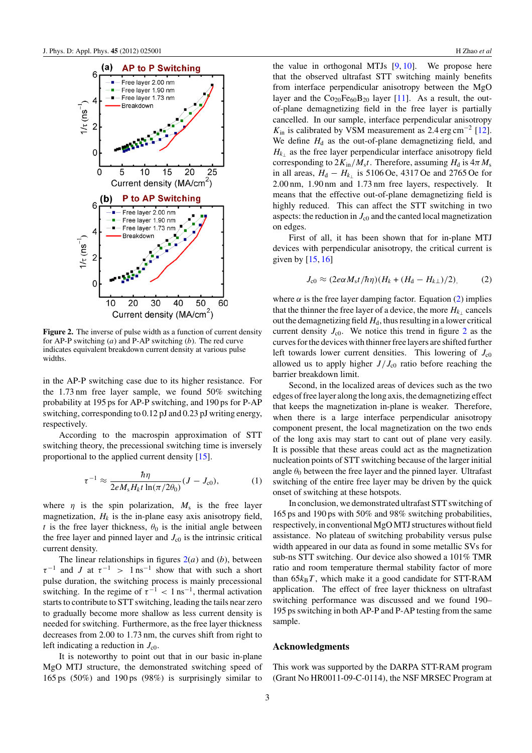<span id="page-3-0"></span>

**Figure 2.** The inverse of pulse width as a function of current density for AP-P switching (*a*) and P-AP switching (*b*). The red curve indicates equivalent breakdown current density at various pulse widths.

in the AP-P switching case due to its higher resistance. For the 1.73 nm free layer sample, we found 50% switching probability at 195 ps for AP-P switching, and 190 ps for P-AP switching, corresponding to 0.12 pJ and 0.23 pJ writing energy, respectively.

According to the macrospin approximation of STT switching theory, the precessional switching time is inversely proportional to the applied current density [\[15\]](#page-4-0).

$$
\tau^{-1} \approx \frac{\hbar \eta}{2eM_sH_kt\ln(\pi/2\theta_0)}(J-J_{c0}),\tag{1}
$$

where  $\eta$  is the spin polarization,  $M_s$  is the free layer magnetization,  $H_k$  is the in-plane easy axis anisotropy field, *t* is the free layer thickness,  $\theta_0$  is the initial angle between the free layer and pinned layer and  $J_{c0}$  is the intrinsic critical current density.

The linear relationships in figures  $2(a)$  and  $(b)$ , between  $\tau^{-1}$  and *J* at  $\tau^{-1}$  > 1 ns<sup>-1</sup> show that with such a short pulse duration, the switching process is mainly precessional switching. In the regime of  $\tau^{-1}$  < 1 ns<sup>-1</sup>, thermal activation starts to contribute to STT switching, leading the tails near zero to gradually become more shallow as less current density is needed for switching. Furthermore, as the free layer thickness decreases from 2.00 to 1.73 nm, the curves shift from right to left indicating a reduction in  $J_{c0}$ .

It is noteworthy to point out that in our basic in-plane MgO MTJ structure, the demonstrated switching speed of 165 ps (50%) and 190 ps (98%) is surprisingly similar to

the value in orthogonal MTJs [\[9,](#page-4-0) [10\]](#page-4-0). We propose here that the observed ultrafast STT switching mainly benefits from interface perpendicular anisotropy between the MgO layer and the  $Co<sub>20</sub>Fe<sub>60</sub>B<sub>20</sub>$  layer [\[11\]](#page-4-0). As a result, the outof-plane demagnetizing field in the free layer is partially cancelled. In our sample, interface perpendicular anisotropy  $K_{\text{in}}$  is calibrated by VSM measurement as 2.4 erg cm<sup>-2</sup> [\[12\]](#page-4-0). We define  $H_d$  as the out-of-plane demagnetizing field, and  $H_{k_1}$  as the free layer perpendicular interface anisotropy field corresponding to  $2K_{\text{in}}/M_s t$ . Therefore, assuming  $H_d$  is  $4\pi M_s$ in all areas,  $H_d - H_{k_1}$  is 5106 Oe, 4317 Oe and 2765 Oe for 2.00 nm, 1.90 nm and 1.73 nm free layers, respectively. It means that the effective out-of-plane demagnetizing field is highly reduced. This can affect the STT switching in two aspects: the reduction in  $J_{c0}$  and the canted local magnetization on edges.

First of all, it has been shown that for in-plane MTJ devices with perpendicular anisotropy, the critical current is given by [\[15,](#page-4-0) [16\]](#page-4-0)

$$
J_{\rm c0} \approx (2e\alpha M_{\rm s}t/\hbar\eta)(H_k + (H_{\rm d} - H_{k\perp})/2),\tag{2}
$$

where  $\alpha$  is the free layer damping factor. Equation (2) implies that the thinner the free layer of a device, the more  $H_{k_1}$  cancels out the demagnetizing field  $H_d$ , thus resulting in a lower critical current density  $J_{c0}$ . We notice this trend in figure 2 as the curves for the devices with thinner free layers are shifted further left towards lower current densities. This lowering of  $J_{c0}$ allowed us to apply higher  $J/J_{c0}$  ratio before reaching the barrier breakdown limit.

Second, in the localized areas of devices such as the two edges of free layer along the long axis, the demagnetizing effect that keeps the magnetization in-plane is weaker. Therefore, when there is a large interface perpendicular anisotropy component present, the local magnetization on the two ends of the long axis may start to cant out of plane very easily. It is possible that these areas could act as the magnetization nucleation points of STT switching because of the larger initial angle  $\theta_0$  between the free layer and the pinned layer. Ultrafast switching of the entire free layer may be driven by the quick onset of switching at these hotspots.

In conclusion, we demonstrated ultrafast STT switching of 165 ps and 190 ps with 50% and 98% switching probabilities, respectively, in conventional MgOMTJ structures without field assistance. No plateau of switching probability versus pulse width appeared in our data as found in some metallic SVs for sub-ns STT switching. Our device also showed a 101% TMR ratio and room temperature thermal stability factor of more than  $65k_BT$ , which make it a good candidate for STT-RAM application. The effect of free layer thickness on ultrafast switching performance was discussed and we found 190– 195 ps switching in both AP-P and P-AP testing from the same sample.

### **Acknowledgments**

This work was supported by the DARPA STT-RAM program (Grant No HR0011-09-C-0114), the NSF MRSEC Program at